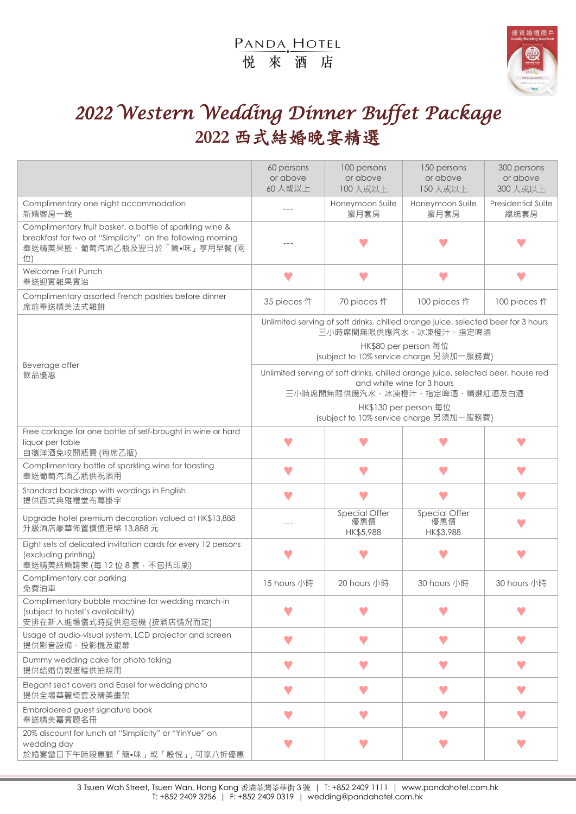# PANDA, HOTEL 悦來酒店



# *2022 Western Wedding Dinner Buffet Package*  **2022** 西式結婚晚宴精選

|                                                                                                                                                               | 60 persons<br>or above<br>60人或以上                                                                                                                                                                                    | 100 persons<br>or above<br>100人或以上 | 150 persons<br>or above<br>150人或以上 | 300 persons<br>or above<br>300 人或以上 |
|---------------------------------------------------------------------------------------------------------------------------------------------------------------|---------------------------------------------------------------------------------------------------------------------------------------------------------------------------------------------------------------------|------------------------------------|------------------------------------|-------------------------------------|
| Complimentary one night accommodation<br>新婚客房一晚                                                                                                               | $- - -$                                                                                                                                                                                                             | Honeymoon Suite<br>蜜月套房            | Honeymoon Suite<br>蜜月套房            | <b>Presidential Suite</b><br>總統套房   |
| Complimentary fruit basket, a bottle of sparkling wine &<br>breakfast for two at "Simplicity" on the following morning<br>奉送精美果籃、葡萄汽酒乙瓶及翌日於「簡•味」享用早餐 (兩<br>位) |                                                                                                                                                                                                                     |                                    |                                    |                                     |
| Welcome Fruit Punch<br>奉送迎賓雜果賓治                                                                                                                               |                                                                                                                                                                                                                     |                                    |                                    |                                     |
| Complimentary assorted French pastries before dinner<br>席前奉送精美法式雜餅                                                                                            | 35 pieces 件                                                                                                                                                                                                         | 70 pieces 件                        | 100 pieces 件                       | 100 pieces 件                        |
| Beverage offer<br>飲品優惠                                                                                                                                        | Unlimited serving of soft drinks, chilled orange juice, selected beer for 3 hours<br>三小時席間無限供應汽水、冰凍橙汁、指定啤酒<br>HK\$80 per person 每位<br>(subject to 10% service charge 另須加一服務費)                                       |                                    |                                    |                                     |
|                                                                                                                                                               | Unlimited serving of soft drinks, chilled orange juice, selected beer, house red<br>and white wine for 3 hours<br>三小時席間無限供應汽水、冰凍橙汁、指定啤酒、精選紅酒及白酒<br>HK\$130 per person 每位<br>(subject to 10% service charge 另須加一服務費) |                                    |                                    |                                     |
| Free corkage for one bottle of self-brought in wine or hard<br>liquor per table<br>自攜洋酒免收開瓶費 (每席乙瓶)                                                           |                                                                                                                                                                                                                     |                                    |                                    |                                     |
| Complimentary bottle of sparkling wine for toasting<br>奉送葡萄汽酒乙瓶供祝酒用                                                                                           |                                                                                                                                                                                                                     |                                    | w                                  |                                     |
| Standard backdrop with wordings in English<br>提供西式典雅禮堂布幕掛字                                                                                                    |                                                                                                                                                                                                                     |                                    |                                    |                                     |
| Upgrade hotel premium decoration valued at HK\$13,888<br>升級酒店豪華佈置價值港幣 13,888元                                                                                 |                                                                                                                                                                                                                     | Special Offer<br>優惠價<br>HK\$5,988  | Special Offer<br>優惠價<br>HK\$3,988  |                                     |
| Eight sets of delicated invitation cards for every 12 persons<br>(excluding printing)<br>奉送精美結婚請柬 (每 12 位 8 套 · 不包括印刷)                                        |                                                                                                                                                                                                                     |                                    |                                    |                                     |
| Complimentary car parking<br>免費泊車                                                                                                                             | 15 hours 小時                                                                                                                                                                                                         | 20 hours 小時                        | 30 hours 小時                        | 30 hours 小時                         |
| Complimentary bubble machine for wedding march-in<br>(subject to hotel's availability)<br>安排在新人進場儀式時提供泡泡機 (按酒店情況而定)                                           |                                                                                                                                                                                                                     |                                    |                                    |                                     |
| Usage of audio-visual system, LCD projector and screen<br>提供影音設備、投影機及銀幕                                                                                       |                                                                                                                                                                                                                     |                                    |                                    |                                     |
| Dummy wedding cake for photo taking<br>提供結婚仿製蛋糕供拍照用                                                                                                           | v                                                                                                                                                                                                                   |                                    |                                    |                                     |
| Elegant seat covers and Easel for wedding photo<br>提供全場華麗椅套及精美畫架                                                                                              |                                                                                                                                                                                                                     |                                    |                                    |                                     |
| Embroidered guest signature book<br>奉送精美嘉賓題名冊                                                                                                                 | v                                                                                                                                                                                                                   | v                                  | V                                  | V                                   |
| 20% discount for lunch at "Simplicity" or "YinYue" on<br>wedding day<br>於婚宴當日下午時段惠顧「簡•味」或「殷悅」,可享八折優惠                                                          |                                                                                                                                                                                                                     |                                    |                                    |                                     |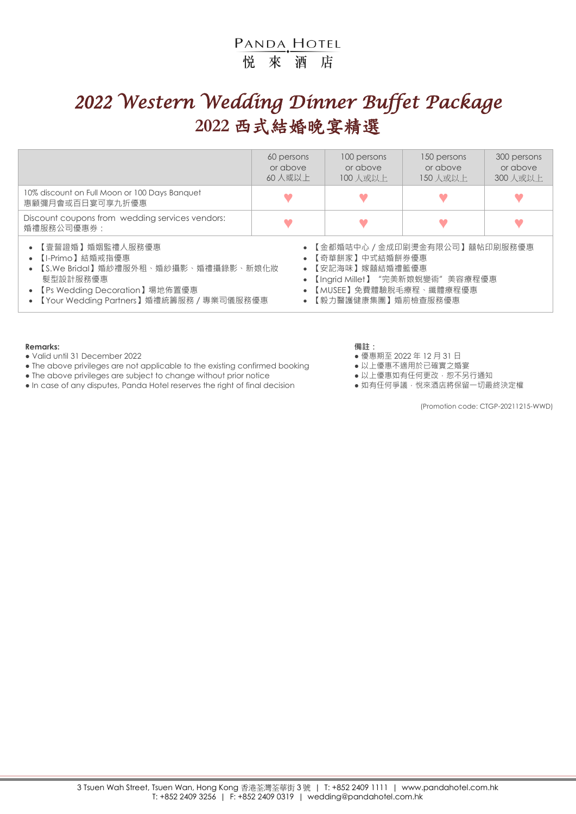# PANDA, HOTEL 悦來酒店

# *2022 Western Wedding Dinner Buffet Package*  **2022** 西式結婚晚宴精選

|                                                                                                                                                                                                                                                                                                                                        | 60 persons<br>or above<br>60人或以上 | 100 persons<br>or above<br>100 人或以上 | 150 persons<br>or above<br>150 人或以上 | 300 persons<br>or above<br>300 人或以上 |
|----------------------------------------------------------------------------------------------------------------------------------------------------------------------------------------------------------------------------------------------------------------------------------------------------------------------------------------|----------------------------------|-------------------------------------|-------------------------------------|-------------------------------------|
| 10% discount on Full Moon or 100 Days Banquet<br>惠顧彌月會或百日宴可享九折優惠                                                                                                                                                                                                                                                                       |                                  |                                     |                                     |                                     |
| Discount coupons from wedding services vendors:<br>婚禮服務公司優惠券:                                                                                                                                                                                                                                                                          |                                  |                                     |                                     |                                     |
| • 【壹誓證婚】婚姻監禮人服務優惠<br>• 【金都婚咭中心 / 金成印刷燙金有限公司】囍帖印刷服務優惠<br>• 【奇華餅家】中式結婚餅券優惠<br>• 【I-Primo】結婚戒指優惠<br>【 S.We Bridal 】 婚紗禮服外租、婚紗攝影、婚禮攝錄影、新娘化妝<br>• 【安記海味】嫁囍結婚禮籃優惠<br>【Ingrid Millet】"完美新娘蛻變術"美容療程優惠<br>髮型設計服務優惠<br>【Ps Wedding Decoration】場地佈置優惠<br>【MUSEE】免費體驗脫毛療程、纖體療程優惠<br>【Your Wedding Partners】婚禮統籌服務 / 專業司儀服務優惠<br>【毅力醫護健康集團】婚前檢查服務優惠 |                                  |                                     |                                     |                                     |

#### **Remarks: 備註:**

● Valid until 31 December 2022 ● 優惠期至 2022 年 12 月 31 日

- The above privileges are not applicable to the existing confirmed booking 以上優惠不適用於已確實之婚宴
- The above privileges are subject to change without prior notice <br>● In case of any disputes, Panda Hotel reserves the right of final decision 如有任何爭議, 悅來酒店將保留一切最終決定權
- In case of any disputes, Panda Hotel reserves the right of final decision

- 
- 
- 
- 

(Promotion code: CTGP-20211215-WWD)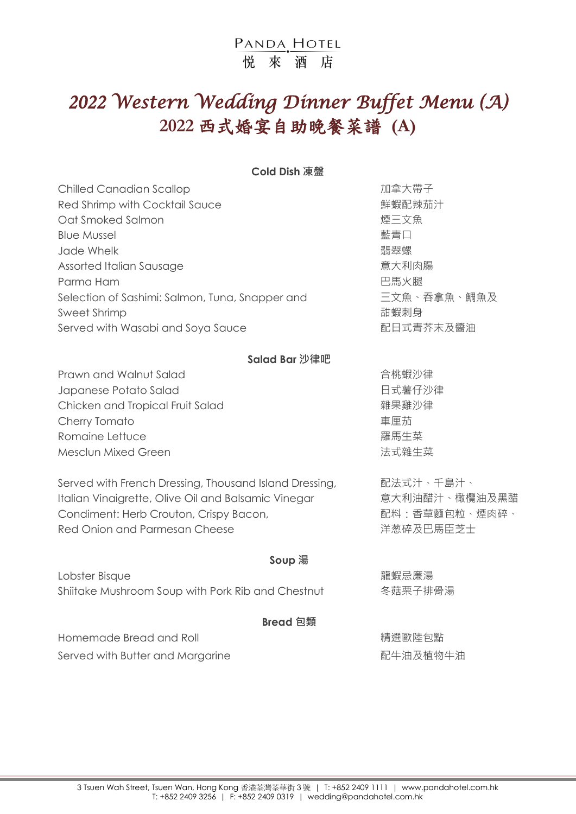# *2022 Western Wedding Dinner Buffet Menu (A)*  **2022** 西式婚宴自助晚餐菜譜 **(A)**

**Cold Dish 凍盤**

| <b>Chilled Canadian Scallop</b>                 | 加拿大帶子       |
|-------------------------------------------------|-------------|
| Red Shrimp with Cocktail Sauce                  | 鮮蝦配辣茄汁      |
| Oat Smoked Salmon                               | 煙三文魚        |
| <b>Blue Mussel</b>                              | 藍青口         |
| Jade Whelk                                      | 翡翠螺         |
| Assorted Italian Sausage                        | 意大利肉腸       |
| Parma Ham                                       | 巴馬火腿        |
| Selection of Sashimi: Salmon, Tuna, Snapper and | 三文魚、吞拿魚、鯛魚及 |
| Sweet Shrimp                                    | 甜蝦刺身        |
| Served with Wasabi and Soya Sauce               | 配日式青芥末及醬油   |
|                                                 |             |

### **Salad Bar 沙律吧**

Prawn and Walnut Salad https://www.accellen.com/discrease.com/discrease.html Japanese Potato Salad <br>
日式薯仔沙律 Chicken and Tropical Fruit Salad <br> **糯果雞沙律** Cherry Tomato **beating the control of the control of the control of the control of the control of the control o Romaine Lettuce インファイル おおとこ かんしゃ おおとこ おおおお アメリカ 羅馬生菜** Mesclun Mixed Green わかります おおとこ おおとこ あいちょう おおし 法式雜生菜

Served with French Dressing, Thousand Island Dressing, Than 配法式汁、千島汁、 Italian Vinaigrette, Olive Oil and Balsamic Vinegar **bust and the oral 意大利油醋汁、橄欖油及黑醋** Condiment: Herb Crouton, Crispy Bacon, 配料:香草麵包粒、煙肉碎、 Red Onion and Parmesan Cheese **Accord Particle State State State X** 洋葱碎及巴馬臣芝士

### **Soup 湯**

Lobster Bisque 龍蝦忌廉湯 Shiitake Mushroom Soup with Pork Rib and Chestnut 冬菇栗子排骨湯

#### **Bread 包類**

Homemade Bread and Roll イントリング こうしゃ おくしゃ おくしゃ 精選 歐陸包點 Served with Butter and Margarine <br>
and the contraction of the Ref and Theorem and Margarine and Theorem and Theorem and Theorem and Theorem and T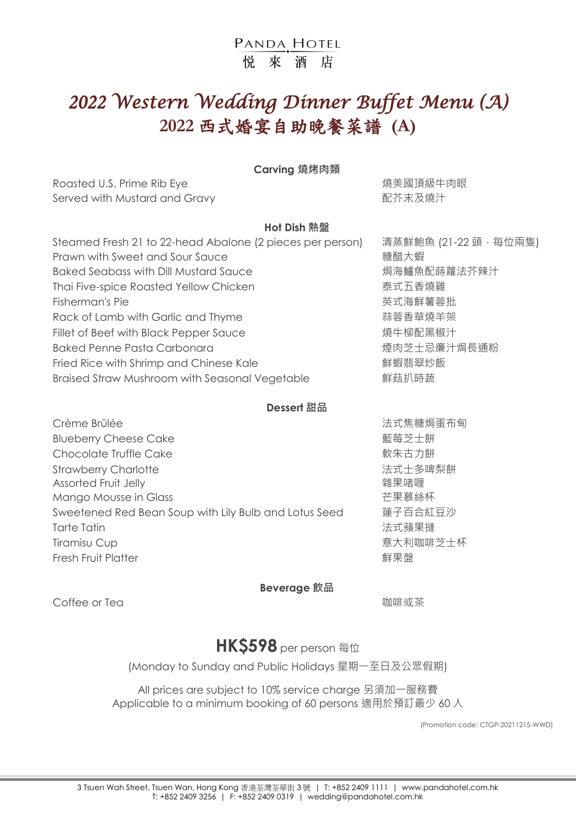# *2022 Western Wedding Dinner Buffet Menu (A)*  **2022** 西式婚宴自助晚餐菜譜 **(A)**

### **Carving 燒烤肉類**

Roasted U.S. Prime Rib Eye **bookstand and the Control of The Control** 燒美國頂級牛肉眼 Served with Mustard and Gravy https://www.com/served with Mustard and Gravy http://www.com/served/with and  $\mathbb{R}$ 芥末及燒汁

## **Hot Dish 熱盤**

| 清蒸鮮鮑魚 (21-22 頭·每位兩隻) |
|----------------------|
|                      |
|                      |
|                      |
|                      |
|                      |
|                      |
|                      |
|                      |
|                      |
|                      |

## **Dessert 甜品**

Crème Brûlée **Erough Australia et au comme aux comme aux comme aux comme aux comme aux comme aux comme aux comme aux comme aux comme aux comme aux comme aux comme aux comme aux comme aux comme aux comme aux comme aux comm** Blueberry Cheese Cake **the control of the Calcular Section** of the set of the set of the set of the set of the set of the set of the set of the set of the set of the set of the set of the set of the set of the set of the Chocolate Truffle Cake カラント おもし おもの あいまん みちのあい みちのあい しょうかい こうしゅう かいしょう こうしゅう こうしょう Strawberry Charlotte **Example 2018** Strawberry Charlotte Assorted Fruit Jelly **the Contract of Assorted Fruit Jelly Assorted Fruit Jelly** Mango Mousse in Glass <br>
<br>
<u><br>
2018 <br>
2018 <br>
2018 <br>
2019 <br>
2019 <br>
2019 <br>
2019 <br>
2019 <br>
2019 <br>
2019 <br>
2019 <br>
2019 <br>
2019 <br>
2019 <br>
2019 <br>
2019 <br>
2019 <br>
2019 <br>
2019 <br>
2019 <br>
2019 <br>
2019 <br>
2019 <br>
2019 <br>
2019 <br>
2019 <br><br><br><br><br><br><br><br><br><br><br><br></u> Sweetened Red Bean Soup with Lily Bulb and Lotus Seed 蓮子百合紅豆沙 Tarte Tatin 法式蘋果撻 Tiramisu Cup <br>
Tiramisu Cup Fresh Fruit Platter インタン インタン こうしゃ まままま (鮮果盤)

### **Beverage 飲品**

Coffee or Tea スピューティング しょうしょう しゅうしょう しゅうしゅう しゅうしゅう しゅうしゅう いんじょう いんじょう いんじょう しゅうしょう

# **HK\$598** per person 每位

(Monday to Sunday and Public Holidays 星期一至日及公眾假期)

All prices are subject to 10% service charge 另須加一服務費 Applicable to a minimum booking of 60 persons 適用於預訂最少 60 人

(Promotion code: CTGP-20211215-WWD)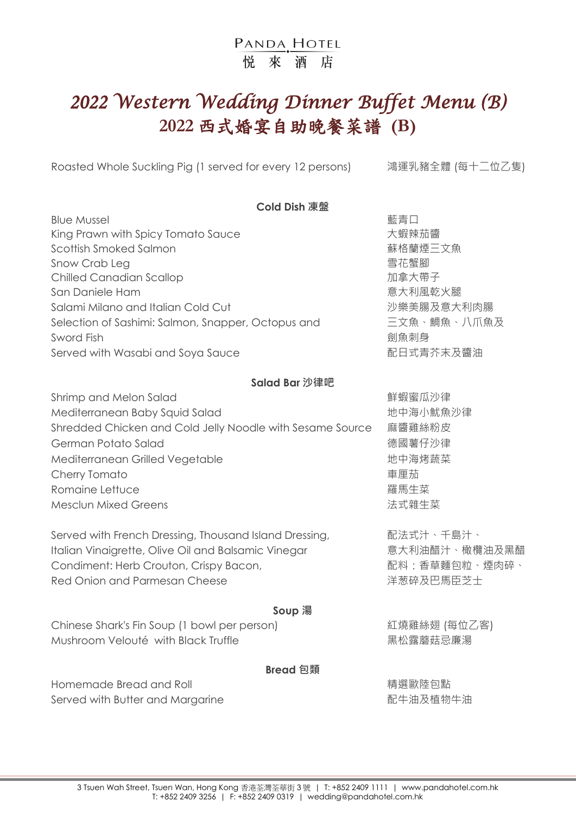# *2022 Western Wedding Dinner Buffet Menu (B)*  **2022** 西式婚宴自助晚餐菜譜 **(B)**

Roasted Whole Suckling Pig (1 served for every 12 persons) 赛運乳豬全體 (每十二位乙隻)

| <b>Cold Dish 凍盤</b>                                       |             |  |  |  |
|-----------------------------------------------------------|-------------|--|--|--|
| <b>Blue Mussel</b>                                        | 藍青口         |  |  |  |
| King Prawn with Spicy Tomato Sauce                        | 大蝦辣茄醬       |  |  |  |
| Scottish Smoked Salmon                                    | 蘇格蘭煙三文魚     |  |  |  |
| Snow Crab Leg                                             | 雪花蟹腳        |  |  |  |
| <b>Chilled Canadian Scallop</b>                           | 加拿大帶子       |  |  |  |
| San Daniele Ham                                           | 意大利風乾火腿     |  |  |  |
| Salami Milano and Italian Cold Cut                        | 沙樂美腸及意大利肉腸  |  |  |  |
| Selection of Sashimi: Salmon, Snapper, Octopus and        | 三文魚、鯛魚、八爪魚及 |  |  |  |
| Sword Fish                                                | 劍魚刺身        |  |  |  |
| Served with Wasabi and Soya Sauce                         | 配日式青芥末及醬油   |  |  |  |
| Salad Bar 沙律吧                                             |             |  |  |  |
| Shrimp and Melon Salad                                    | 鮮蝦蜜瓜沙律      |  |  |  |
| Mediterranean Baby Squid Salad                            | 地中海小魷魚沙律    |  |  |  |
| Shredded Chicken and Cold Jelly Noodle with Sesame Source | 麻醬雞絲粉皮      |  |  |  |
| German Potato Salad                                       | 德國薯仔沙律      |  |  |  |
| Mediterranean Grilled Vegetable                           | 地中海烤蔬菜      |  |  |  |
| Cherry Tomato                                             | 車厘茄         |  |  |  |
| Romaine Lettuce                                           | 羅馬生菜        |  |  |  |
| <b>Mesclun Mixed Greens</b>                               | 法式雜生菜       |  |  |  |
| Served with French Dressing, Thousand Island Dressing,    | 配法式汁、千島汁、   |  |  |  |

Italian Vinaigrette, Olive Oil and Balsamic Vinegar **Entity of the original of the Set A** and Halian X and the B Condiment: Herb Crouton, Crispy Bacon, <br>
and the condiment: Herb Crouton, Crispy Bacon, <br>
and the condition of the Table of Table of the Table of the Table of the Table of the Table of the Table of the Table of the Table Red Onion and Parmesan Cheese **Accord Particle State** 羊葱碎及巴馬臣芝士

### **Soup 湯**

Chinese Shark's Fin Soup (1 bowl per person) 紅燒雞絲翅 (每位乙客) Mushroom Velouté with Black Truffle **National Mushroom Velouté with Black Truffle** 

### **Bread 包類**

Homemade Bread and Roll インタントリック おおところ おおところ おおところ 精選歐陸包點 Served with Butter and Margarine **Example 20** and Margarine and Margarine and Margarine and Margarine and Margarine